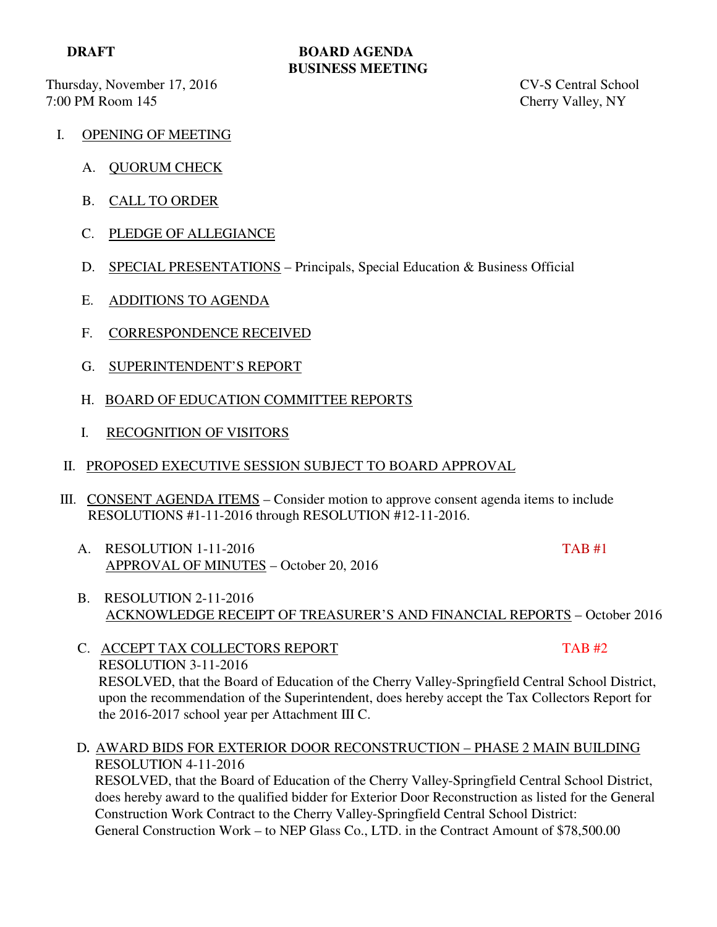**DRAFT BOARD AGENDA BUSINESS MEETING**

Thursday, November 17, 2016 CV-S Central School 7:00 PM Room 145 Cherry Valley, NY

- I. OPENING OF MEETING
	- A. QUORUM CHECK
	- B. CALL TO ORDER
	- C. PLEDGE OF ALLEGIANCE
	- D. SPECIAL PRESENTATIONS Principals, Special Education & Business Official
	- E. ADDITIONS TO AGENDA
	- F. CORRESPONDENCE RECEIVED
	- G. SUPERINTENDENT'S REPORT
	- H. BOARD OF EDUCATION COMMITTEE REPORTS
	- I. RECOGNITION OF VISITORS
- II. PROPOSED EXECUTIVE SESSION SUBJECT TO BOARD APPROVAL
- III. CONSENT AGENDA ITEMS Consider motion to approve consent agenda items to include RESOLUTIONS #1-11-2016 through RESOLUTION #12-11-2016.
	- A. RESOLUTION 1-11-2016 TAB #1 APPROVAL OF MINUTES – October 20, 2016

- B. RESOLUTION 2-11-2016 ACKNOWLEDGE RECEIPT OF TREASURER'S AND FINANCIAL REPORTS – October 2016
- C. ACCEPT TAX COLLECTORS REPORT TAB #2 RESOLUTION 3-11-2016 RESOLVED, that the Board of Education of the Cherry Valley-Springfield Central School District, upon the recommendation of the Superintendent, does hereby accept the Tax Collectors Report for the 2016-2017 school year per Attachment III C.
- D**.** AWARD BIDS FOR EXTERIOR DOOR RECONSTRUCTION PHASE 2 MAIN BUILDING RESOLUTION 4-11-2016

 RESOLVED, that the Board of Education of the Cherry Valley-Springfield Central School District, does hereby award to the qualified bidder for Exterior Door Reconstruction as listed for the General Construction Work Contract to the Cherry Valley-Springfield Central School District: General Construction Work – to NEP Glass Co., LTD. in the Contract Amount of \$78,500.00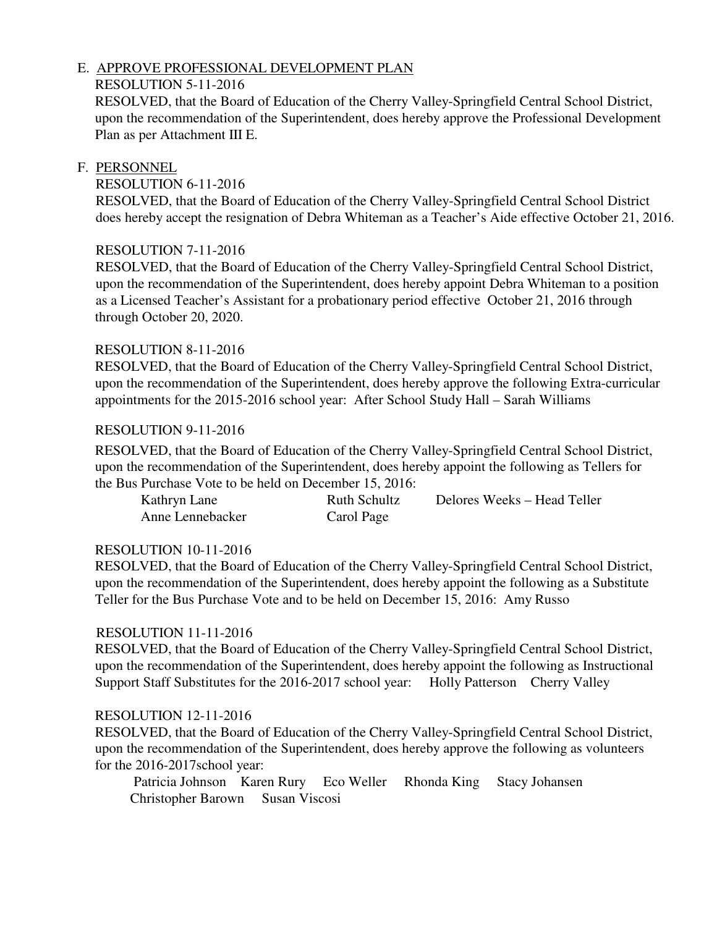# E. APPROVE PROFESSIONAL DEVELOPMENT PLAN

# RESOLUTION 5-11-2016

 RESOLVED, that the Board of Education of the Cherry Valley-Springfield Central School District, upon the recommendation of the Superintendent, does hereby approve the Professional Development Plan as per Attachment III E.

# F. PERSONNEL

# RESOLUTION 6-11-2016

 RESOLVED, that the Board of Education of the Cherry Valley-Springfield Central School District does hereby accept the resignation of Debra Whiteman as a Teacher's Aide effective October 21, 2016.

# RESOLUTION 7-11-2016

 RESOLVED, that the Board of Education of the Cherry Valley-Springfield Central School District, upon the recommendation of the Superintendent, does hereby appoint Debra Whiteman to a position as a Licensed Teacher's Assistant for a probationary period effective October 21, 2016 through through October 20, 2020.

## RESOLUTION 8-11-2016

 RESOLVED, that the Board of Education of the Cherry Valley-Springfield Central School District, upon the recommendation of the Superintendent, does hereby approve the following Extra-curricular appointments for the 2015-2016 school year: After School Study Hall – Sarah Williams

### RESOLUTION 9-11-2016

 RESOLVED, that the Board of Education of the Cherry Valley-Springfield Central School District, upon the recommendation of the Superintendent, does hereby appoint the following as Tellers for the Bus Purchase Vote to be held on December 15, 2016:

| Kathryn Lane     | Ruth Schultz | Delores Weeks – Head Teller |
|------------------|--------------|-----------------------------|
| Anne Lennebacker | Carol Page   |                             |

### RESOLUTION 10-11-2016

 RESOLVED, that the Board of Education of the Cherry Valley-Springfield Central School District, upon the recommendation of the Superintendent, does hereby appoint the following as a Substitute Teller for the Bus Purchase Vote and to be held on December 15, 2016: Amy Russo

### RESOLUTION 11-11-2016

 RESOLVED, that the Board of Education of the Cherry Valley-Springfield Central School District, upon the recommendation of the Superintendent, does hereby appoint the following as Instructional Support Staff Substitutes for the 2016-2017 school year: Holly Patterson Cherry Valley

### RESOLUTION 12-11-2016

 RESOLVED, that the Board of Education of the Cherry Valley-Springfield Central School District, upon the recommendation of the Superintendent, does hereby approve the following as volunteers for the 2016-2017school year:

 Patricia Johnson Karen Rury Eco Weller Rhonda King Stacy Johansen Christopher Barown Susan Viscosi